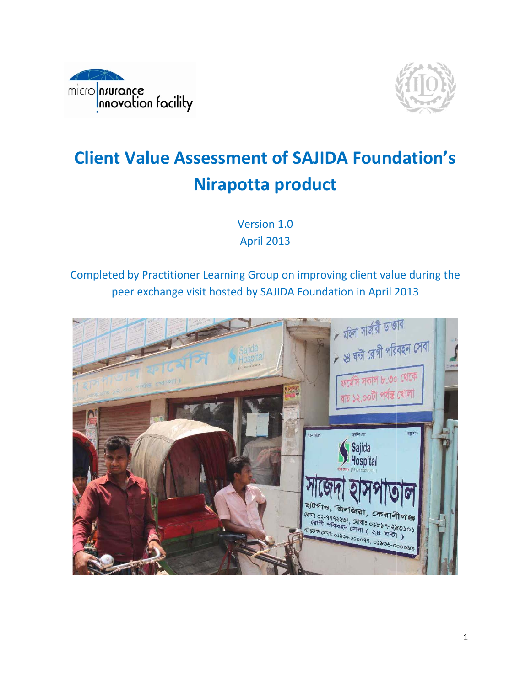



# **Client Value Assessment of SAJIDA Foundation's** Nirapotta product

Version 1.0 **April 2013** 

# Completed by Practitioner Learning Group on improving client value during the peer exchange visit hosted by SAJIDA Foundation in April 2013

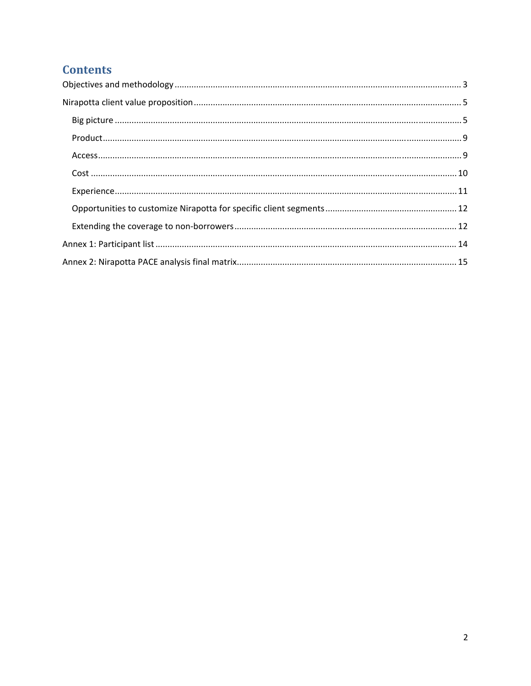# **Contents**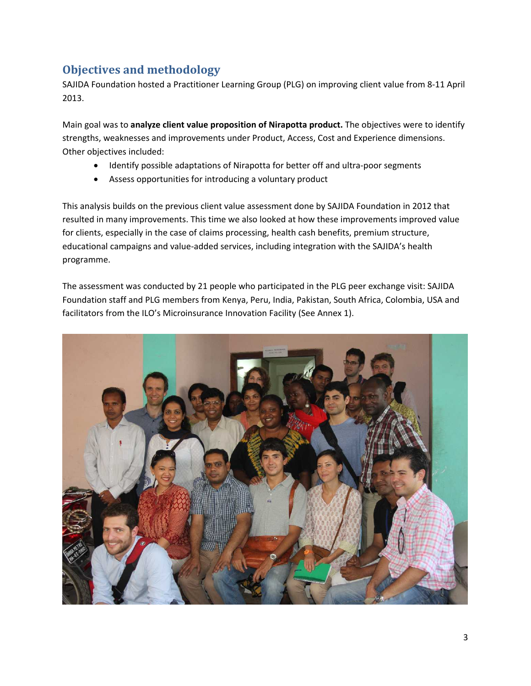# **Objectives and methodology**

SAJIDA Foundation hosted a Practitioner Learning Group (PLG) on improving client value from 8‐11 April 2013.

Main goal was to **analyze client value proposition of Nirapotta product.** The objectives were to identify strengths, weaknesses and improvements under Product, Access, Cost and Experience dimensions. Other objectives included:

- Identify possible adaptations of Nirapotta for better off and ultra-poor segments
- Assess opportunities for introducing a voluntary product

This analysis builds on the previous client value assessment done by SAJIDA Foundation in 2012 that resulted in many improvements. This time we also looked at how these improvements improved value for clients, especially in the case of claims processing, health cash benefits, premium structure, educational campaigns and value‐added services, including integration with the SAJIDA's health programme.

The assessment was conducted by 21 people who participated in the PLG peer exchange visit: SAJIDA Foundation staff and PLG members from Kenya, Peru, India, Pakistan, South Africa, Colombia, USA and facilitators from the ILO's Microinsurance Innovation Facility (See Annex 1).

![](_page_2_Picture_7.jpeg)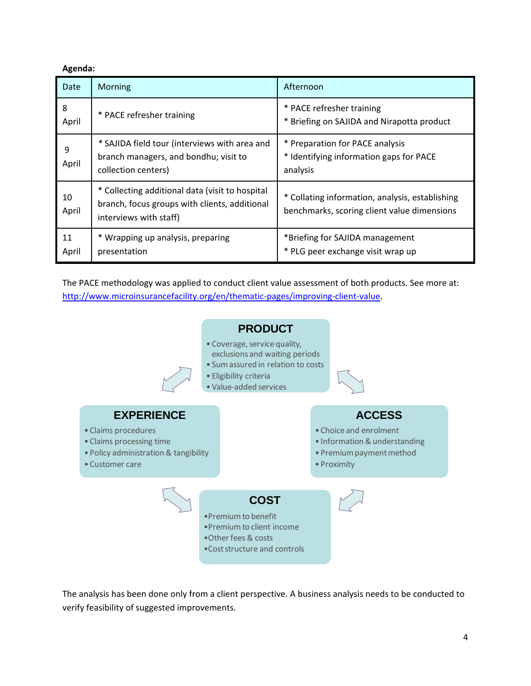#### **Agenda:**

| Date        | Morning                                                                                                                    | Afternoon                                                                                      |
|-------------|----------------------------------------------------------------------------------------------------------------------------|------------------------------------------------------------------------------------------------|
| 8<br>April  | * PACE refresher training                                                                                                  | * PACE refresher training<br>* Briefing on SAJIDA and Nirapotta product                        |
| 9<br>April  | * SAJIDA field tour (interviews with area and<br>branch managers, and bondhu; visit to<br>collection centers)              | * Preparation for PACE analysis<br>* Identifying information gaps for PACE<br>analysis         |
| 10<br>April | * Collecting additional data (visit to hospital<br>branch, focus groups with clients, additional<br>interviews with staff) | * Collating information, analysis, establishing<br>benchmarks, scoring client value dimensions |
| 11<br>April | * Wrapping up analysis, preparing<br>presentation                                                                          | *Briefing for SAJIDA management<br>* PLG peer exchange visit wrap up                           |

The PACE methodology was applied to conduct client value assessment of both products. See more at: http://www.microinsurancefacility.org/en/thematic-pages/improving-client-value.

![](_page_3_Figure_3.jpeg)

The analysis has been done only from a client perspective. A business analysis needs to be conducted to verify feasibility of suggested improvements.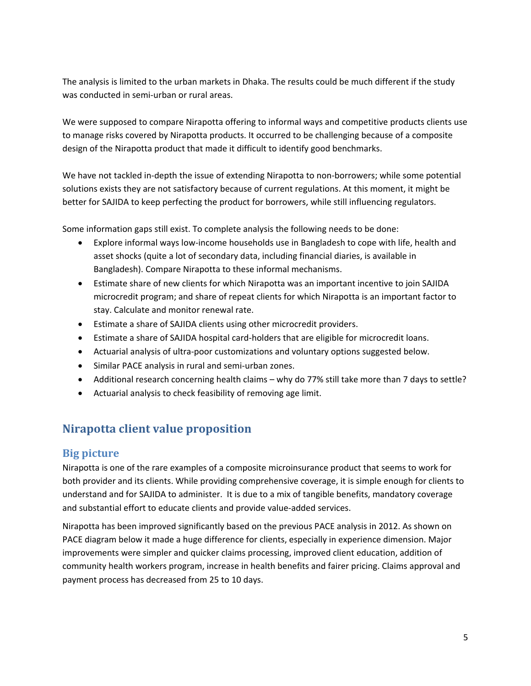The analysis is limited to the urban markets in Dhaka. The results could be much different if the study was conducted in semi-urban or rural areas.

We were supposed to compare Nirapotta offering to informal ways and competitive products clients use to manage risks covered by Nirapotta products. It occurred to be challenging because of a composite design of the Nirapotta product that made it difficult to identify good benchmarks.

We have not tackled in-depth the issue of extending Nirapotta to non-borrowers; while some potential solutions exists they are not satisfactory because of current regulations. At this moment, it might be better for SAJIDA to keep perfecting the product for borrowers, while still influencing regulators.

Some information gaps still exist. To complete analysis the following needs to be done:

- Explore informal ways low-income households use in Bangladesh to cope with life, health and asset shocks (quite a lot of secondary data, including financial diaries, is available in Bangladesh). Compare Nirapotta to these informal mechanisms.
- Estimate share of new clients for which Nirapotta was an important incentive to join SAJIDA microcredit program; and share of repeat clients for which Nirapotta is an important factor to stay. Calculate and monitor renewal rate.
- Estimate a share of SAJIDA clients using other microcredit providers.
- Estimate a share of SAJIDA hospital card-holders that are eligible for microcredit loans.
- Actuarial analysis of ultra-poor customizations and voluntary options suggested below.
- Similar PACE analysis in rural and semi-urban zones.
- Additional research concerning health claims why do 77% still take more than 7 days to settle?
- Actuarial analysis to check feasibility of removing age limit.

# **Nirapotta client value proposition**

#### **Big picture**

Nirapotta is one of the rare examples of a composite microinsurance product that seems to work for both provider and its clients. While providing comprehensive coverage, it is simple enough for clients to understand and for SAJIDA to administer. It is due to a mix of tangible benefits, mandatory coverage and substantial effort to educate clients and provide value‐added services.

Nirapotta has been improved significantly based on the previous PACE analysis in 2012. As shown on PACE diagram below it made a huge difference for clients, especially in experience dimension. Major improvements were simpler and quicker claims processing, improved client education, addition of community health workers program, increase in health benefits and fairer pricing. Claims approval and payment process has decreased from 25 to 10 days.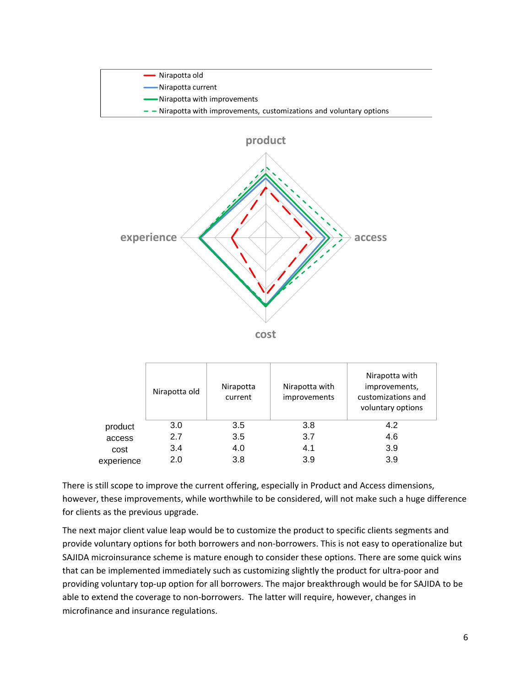![](_page_5_Figure_0.jpeg)

|            | Nirapotta old | Nirapotta<br>current | Nirapotta with<br>improvements | Nirapotta with<br>improvements,<br>customizations and<br>voluntary options |
|------------|---------------|----------------------|--------------------------------|----------------------------------------------------------------------------|
| product    | 3.0           | 3.5                  | 3.8                            | 4.2                                                                        |
| access     | 2.7           | 3.5                  | 3.7                            | 4.6                                                                        |
| cost       | 3.4           | 4.0                  | 4.1                            | 3.9                                                                        |
| experience | 2.0           | 3.8                  | 3.9                            | 3.9                                                                        |

There is still scope to improve the current offering, especially in Product and Access dimensions, however, these improvements, while worthwhile to be considered, will not make such a huge difference for clients as the previous upgrade.

The next major client value leap would be to customize the product to specific clients segments and provide voluntary options for both borrowers and non‐borrowers. This is not easy to operationalize but SAJIDA microinsurance scheme is mature enough to consider these options. There are some quick wins that can be implemented immediately such as customizing slightly the product for ultra‐poor and providing voluntary top‐up option for all borrowers. The major breakthrough would be for SAJIDA to be able to extend the coverage to non‐borrowers. The latter will require, however, changes in microfinance and insurance regulations.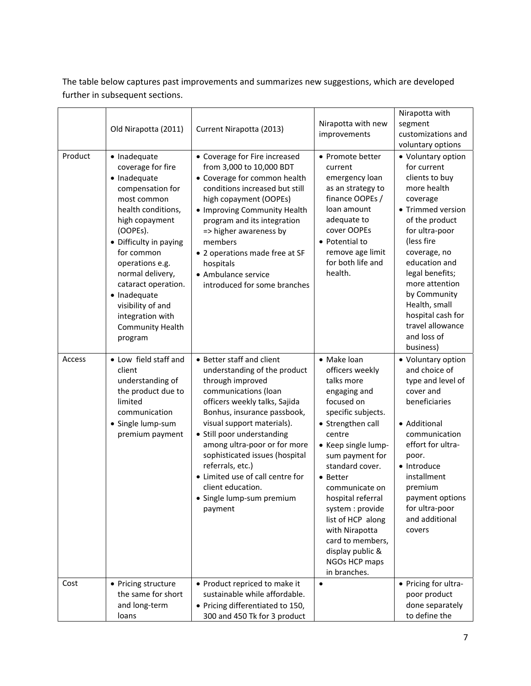The table below captures past improvements and summarizes new suggestions, which are developed further in subsequent sections.

| Product        | Old Nirapotta (2011)<br>· Inadequate<br>coverage for fire<br>· Inadequate<br>compensation for<br>most common<br>health conditions,<br>high copayment<br>(OOPEs).<br>• Difficulty in paying<br>for common<br>operations e.g.<br>normal delivery,<br>cataract operation.<br>· Inadequate<br>visibility of and<br>integration with<br><b>Community Health</b><br>program | Current Nirapotta (2013)<br>• Coverage for Fire increased<br>from 3,000 to 10,000 BDT<br>• Coverage for common health<br>conditions increased but still<br>high copayment (OOPEs)<br>• Improving Community Health<br>program and its integration<br>=> higher awareness by<br>members<br>• 2 operations made free at SF<br>hospitals<br>• Ambulance service<br>introduced for some branches                                                               | Nirapotta with new<br>improvements<br>• Promote better<br>current<br>emergency loan<br>as an strategy to<br>finance OOPEs /<br>loan amount<br>adequate to<br>cover OOPEs<br>• Potential to<br>remove age limit<br>for both life and<br>health.                                                                                                                                                   | Nirapotta with<br>segment<br>customizations and<br>voluntary options<br>• Voluntary option<br>for current<br>clients to buy<br>more health<br>coverage<br>• Trimmed version<br>of the product<br>for ultra-poor<br>(less fire<br>coverage, no<br>education and<br>legal benefits;<br>more attention<br>by Community<br>Health, small<br>hospital cash for<br>travel allowance<br>and loss of<br>business) |
|----------------|-----------------------------------------------------------------------------------------------------------------------------------------------------------------------------------------------------------------------------------------------------------------------------------------------------------------------------------------------------------------------|-----------------------------------------------------------------------------------------------------------------------------------------------------------------------------------------------------------------------------------------------------------------------------------------------------------------------------------------------------------------------------------------------------------------------------------------------------------|--------------------------------------------------------------------------------------------------------------------------------------------------------------------------------------------------------------------------------------------------------------------------------------------------------------------------------------------------------------------------------------------------|-----------------------------------------------------------------------------------------------------------------------------------------------------------------------------------------------------------------------------------------------------------------------------------------------------------------------------------------------------------------------------------------------------------|
| Access<br>Cost | • Low field staff and<br>client<br>understanding of<br>the product due to<br>limited<br>communication<br>• Single lump-sum<br>premium payment<br>• Pricing structure                                                                                                                                                                                                  | • Better staff and client<br>understanding of the product<br>through improved<br>communications (loan<br>officers weekly talks, Sajida<br>Bonhus, insurance passbook,<br>visual support materials).<br>• Still poor understanding<br>among ultra-poor or for more<br>sophisticated issues (hospital<br>referrals, etc.)<br>• Limited use of call centre for<br>client education.<br>· Single lump-sum premium<br>payment<br>• Product repriced to make it | • Make loan<br>officers weekly<br>talks more<br>engaging and<br>focused on<br>specific subjects.<br>• Strengthen call<br>centre<br>• Keep single lump-<br>sum payment for<br>standard cover.<br>• Better<br>communicate on<br>hospital referral<br>system : provide<br>list of HCP along<br>with Nirapotta<br>card to members,<br>display public &<br>NGOs HCP maps<br>in branches.<br>$\bullet$ | • Voluntary option<br>and choice of<br>type and level of<br>cover and<br>beneficiaries<br>• Additional<br>communication<br>effort for ultra-<br>poor.<br>• Introduce<br>installment<br>premium<br>payment options<br>for ultra-poor<br>and additional<br>covers<br>• Pricing for ultra-                                                                                                                   |
|                | the same for short<br>and long-term<br>loans                                                                                                                                                                                                                                                                                                                          | sustainable while affordable.<br>• Pricing differentiated to 150,<br>300 and 450 Tk for 3 product                                                                                                                                                                                                                                                                                                                                                         |                                                                                                                                                                                                                                                                                                                                                                                                  | poor product<br>done separately<br>to define the                                                                                                                                                                                                                                                                                                                                                          |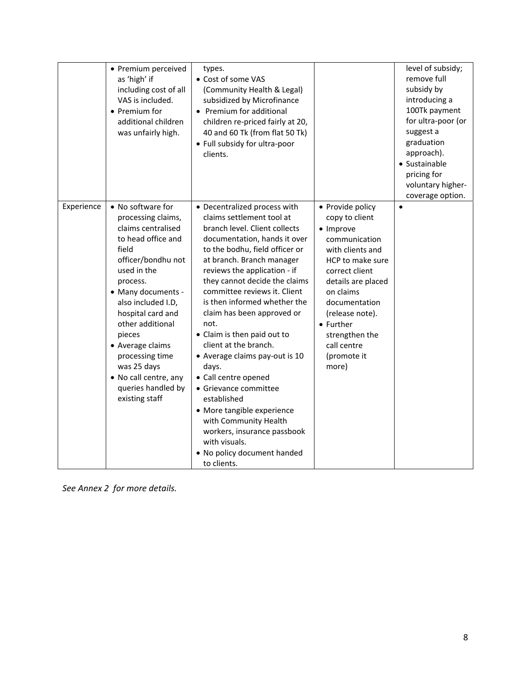|            | • Premium perceived<br>as 'high' if<br>including cost of all<br>VAS is included.<br>• Premium for<br>additional children<br>was unfairly high.                                                                                                                                                                                                                      | types.<br>• Cost of some VAS<br>(Community Health & Legal)<br>subsidized by Microfinance<br>• Premium for additional<br>children re-priced fairly at 20,<br>40 and 60 Tk (from flat 50 Tk)<br>• Full subsidy for ultra-poor<br>clients.                                                                                                                                                                                                                                                                                                                                                                                                                                                  |                                                                                                                                                                                                                                                                         | level of subsidy;<br>remove full<br>subsidy by<br>introducing a<br>100Tk payment<br>for ultra-poor (or<br>suggest a<br>graduation<br>approach).<br>• Sustainable<br>pricing for<br>voluntary higher-<br>coverage option. |
|------------|---------------------------------------------------------------------------------------------------------------------------------------------------------------------------------------------------------------------------------------------------------------------------------------------------------------------------------------------------------------------|------------------------------------------------------------------------------------------------------------------------------------------------------------------------------------------------------------------------------------------------------------------------------------------------------------------------------------------------------------------------------------------------------------------------------------------------------------------------------------------------------------------------------------------------------------------------------------------------------------------------------------------------------------------------------------------|-------------------------------------------------------------------------------------------------------------------------------------------------------------------------------------------------------------------------------------------------------------------------|--------------------------------------------------------------------------------------------------------------------------------------------------------------------------------------------------------------------------|
| Experience | • No software for<br>processing claims,<br>claims centralised<br>to head office and<br>field<br>officer/bondhu not<br>used in the<br>process.<br>• Many documents -<br>also included I.D,<br>hospital card and<br>other additional<br>pieces<br>• Average claims<br>processing time<br>was 25 days<br>• No call centre, any<br>queries handled by<br>existing staff | • Decentralized process with<br>claims settlement tool at<br>branch level. Client collects<br>documentation, hands it over<br>to the bodhu, field officer or<br>at branch. Branch manager<br>reviews the application - if<br>they cannot decide the claims<br>committee reviews it. Client<br>is then informed whether the<br>claim has been approved or<br>not.<br>• Claim is then paid out to<br>client at the branch.<br>• Average claims pay-out is 10<br>days.<br>• Call centre opened<br>• Grievance committee<br>established<br>• More tangible experience<br>with Community Health<br>workers, insurance passbook<br>with visuals.<br>. No policy document handed<br>to clients. | • Provide policy<br>copy to client<br>• Improve<br>communication<br>with clients and<br>HCP to make sure<br>correct client<br>details are placed<br>on claims<br>documentation<br>(release note).<br>• Further<br>strengthen the<br>call centre<br>(promote it<br>more) | $\bullet$                                                                                                                                                                                                                |

*See Annex 2 for more details.*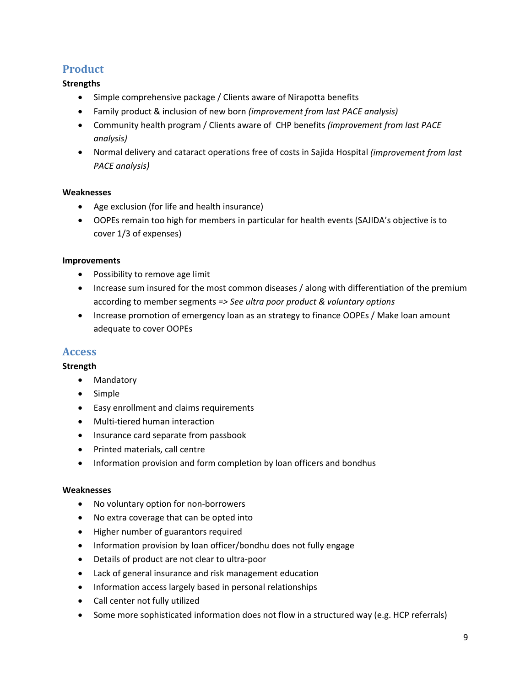# **Product**

#### **Strengths**

- Simple comprehensive package / Clients aware of Nirapotta benefits
- Family product & inclusion of new born *(improvement from last PACE analysis)*
- Community health program / Clients aware of CHP benefits *(improvement from last PACE analysis)*
- Normal delivery and cataract operations free of costs in Sajida Hospital *(improvement from last PACE analysis)*

#### **Weaknesses**

- Age exclusion (for life and health insurance)
- OOPEs remain too high for members in particular for health events (SAJIDA's objective is to cover 1/3 of expenses)

#### **Improvements**

- Possibility to remove age limit
- Increase sum insured for the most common diseases / along with differentiation of the premium according to member segments *=> See ultra poor product & voluntary options*
- Increase promotion of emergency loan as an strategy to finance OOPEs / Make loan amount adequate to cover OOPEs

#### **Access**

#### **Strength**

- Mandatory
- Simple
- Easy enrollment and claims requirements
- Multi-tiered human interaction
- Insurance card separate from passbook
- Printed materials, call centre
- Information provision and form completion by loan officers and bondhus

#### **Weaknesses**

- No voluntary option for non-borrowers
- No extra coverage that can be opted into
- Higher number of guarantors required
- Information provision by loan officer/bondhu does not fully engage
- Details of product are not clear to ultra-poor
- Lack of general insurance and risk management education
- Information access largely based in personal relationships
- Call center not fully utilized
- Some more sophisticated information does not flow in a structured way (e.g. HCP referrals)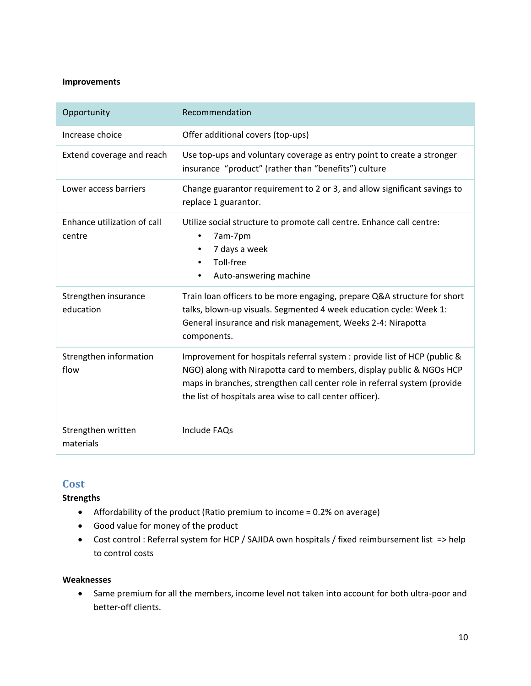#### **Improvements**

| Opportunity                           | Recommendation                                                                                                                                                                                                                                                                             |
|---------------------------------------|--------------------------------------------------------------------------------------------------------------------------------------------------------------------------------------------------------------------------------------------------------------------------------------------|
| Increase choice                       | Offer additional covers (top-ups)                                                                                                                                                                                                                                                          |
| Extend coverage and reach             | Use top-ups and voluntary coverage as entry point to create a stronger<br>insurance "product" (rather than "benefits") culture                                                                                                                                                             |
| Lower access barriers                 | Change guarantor requirement to 2 or 3, and allow significant savings to<br>replace 1 guarantor.                                                                                                                                                                                           |
| Enhance utilization of call<br>centre | Utilize social structure to promote call centre. Enhance call centre:<br>7am-7pm<br>٠<br>7 days a week<br>$\bullet$<br>Toll-free<br>$\bullet$<br>Auto-answering machine<br>٠                                                                                                               |
| Strengthen insurance<br>education     | Train loan officers to be more engaging, prepare Q&A structure for short<br>talks, blown-up visuals. Segmented 4 week education cycle: Week 1:<br>General insurance and risk management, Weeks 2-4: Nirapotta<br>components.                                                               |
| Strengthen information<br>flow        | Improvement for hospitals referral system : provide list of HCP (public &<br>NGO) along with Nirapotta card to members, display public & NGOs HCP<br>maps in branches, strengthen call center role in referral system (provide<br>the list of hospitals area wise to call center officer). |
| Strengthen written<br>materials       | Include FAQs                                                                                                                                                                                                                                                                               |

### **Cost**

**Strengths** 

- Affordability of the product (Ratio premium to income = 0.2% on average)
- Good value for money of the product
- Cost control : Referral system for HCP / SAJIDA own hospitals / fixed reimbursement list => help to control costs

#### **Weaknesses**

 Same premium for all the members, income level not taken into account for both ultra‐poor and better‐off clients.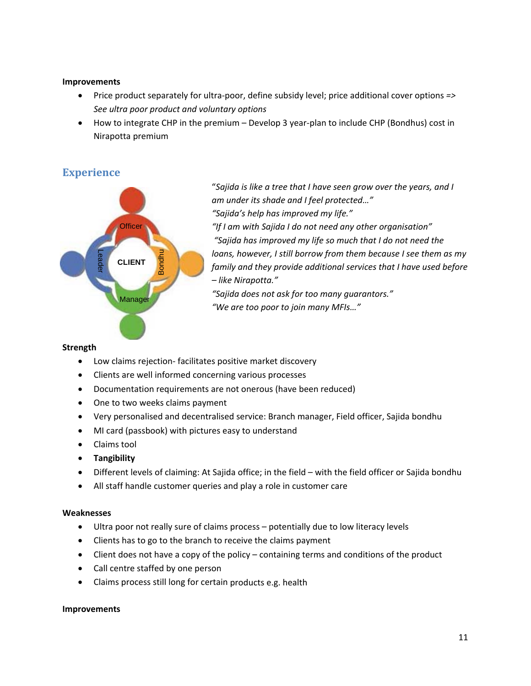#### **Improvements**

- Price product separately for ultra‐poor, define subsidy level; price additional cover options *=> See ultra poor product and voluntary options*
- How to integrate CHP in the premium Develop 3 year-plan to include CHP (Bondhus) cost in Nirapotta premium

# **Experience**

![](_page_10_Figure_4.jpeg)

"*Sajida is like a tree that I have seen grow over the years, and I am under its shade and I feel protected…" "Sajida's help has improved my life." "If I am with Sajida I do not need any other organisation" "Sajida has improved my life so much that I do not need the loans, however, I still borrow from them because I see them as my family and they provide additional services that I have used before – like Nirapotta."*

*"Sajida does not ask for too many guarantors." "We are too poor to join many MFIs…"*

#### **Strength**

- Low claims rejection- facilitates positive market discovery
- Clients are well informed concerning various processes
- Documentation requirements are not onerous (have been reduced)
- One to two weeks claims payment
- Very personalised and decentralised service: Branch manager, Field officer, Sajida bondhu
- MI card (passbook) with pictures easy to understand
- Claims tool
- **Tangibility**
- Different levels of claiming: At Sajida office; in the field with the field officer or Sajida bondhu
- All staff handle customer queries and play a role in customer care

#### **Weaknesses**

- Ultra poor not really sure of claims process potentially due to low literacy levels
- Clients has to go to the branch to receive the claims payment
- Client does not have a copy of the policy containing terms and conditions of the product
- Call centre staffed by one person
- Claims process still long for certain products e.g. health

#### **Improvements**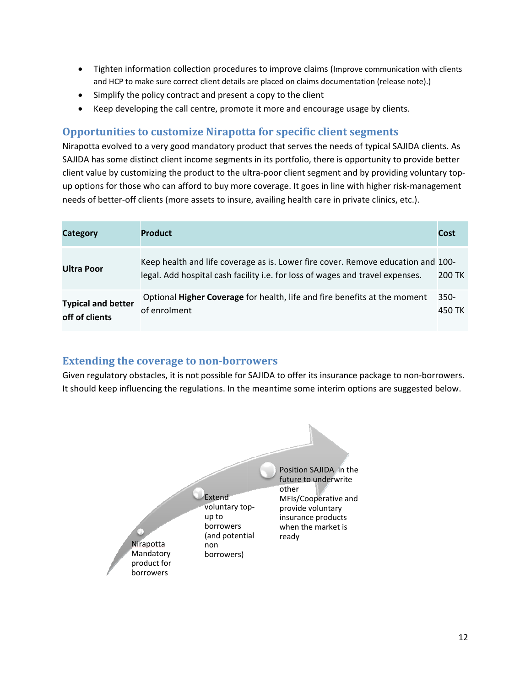- Tighten information collection procedures to improve claims (Improve communication with clients  $\bullet$ and HCP to make sure correct client details are placed on claims documentation (release note).)
- Simplify the policy contract and present a copy to the client
- Keep developing the call centre, promote it more and encourage usage by clients.  $\bullet$

### **Opportunities to customize Nirapotta for specific client segments**

Nirapotta evolved to a very good mandatory product that serves the needs of typical SAJIDA clients. As SAJIDA has some distinct client income segments in its portfolio, there is opportunity to provide better client value by customizing the product to the ultra-poor client segment and by providing voluntary topup options for those who can afford to buy more coverage. It goes in line with higher risk-management needs of better-off clients (more assets to insure, availing health care in private clinics, etc.).

| Category                                    | <b>Product</b>                                                                                                                                                    | Cost              |
|---------------------------------------------|-------------------------------------------------------------------------------------------------------------------------------------------------------------------|-------------------|
| <b>Ultra Poor</b>                           | Keep health and life coverage as is. Lower fire cover. Remove education and 100-<br>legal. Add hospital cash facility i.e. for loss of wages and travel expenses. | 200 TK            |
| <b>Typical and better</b><br>off of clients | Optional Higher Coverage for health, life and fire benefits at the moment<br>of enrolment                                                                         | $350 -$<br>450 TK |

#### **Extending the coverage to non-borrowers**

Given regulatory obstacles, it is not possible for SAJIDA to offer its insurance package to non-borrowers. It should keep influencing the regulations. In the meantime some interim options are suggested below.

![](_page_11_Figure_8.jpeg)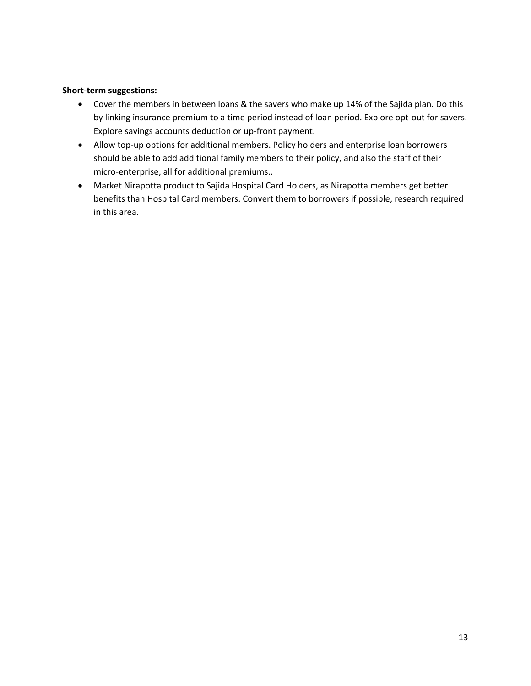#### **Short‐term suggestions:**

- Cover the members in between loans & the savers who make up 14% of the Sajida plan. Do this by linking insurance premium to a time period instead of loan period. Explore opt‐out for savers. Explore savings accounts deduction or up-front payment.
- Allow top‐up options for additional members. Policy holders and enterprise loan borrowers should be able to add additional family members to their policy, and also the staff of their micro‐enterprise, all for additional premiums..
- Market Nirapotta product to Sajida Hospital Card Holders, as Nirapotta members get better benefits than Hospital Card members. Convert them to borrowers if possible, research required in this area.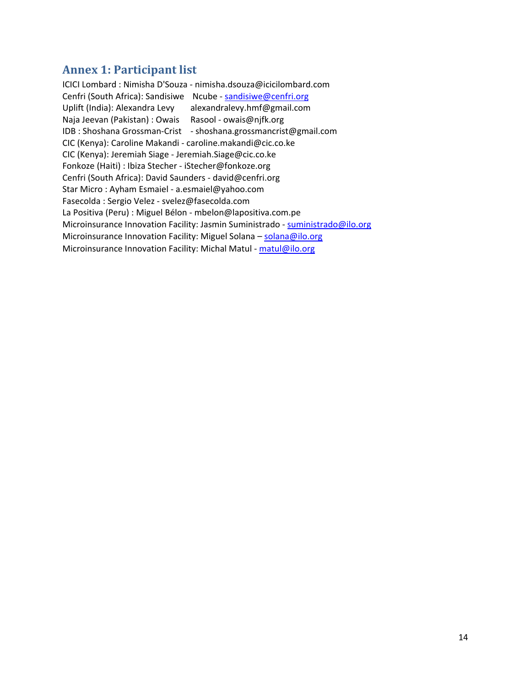# **Annex 1: Participant list**

ICICI Lombard : Nimisha D'Souza ‐ nimisha.dsouza@icicilombard.com Cenfri (South Africa): Sandisiwe Ncube - sandisiwe@cenfri.org Uplift (India): Alexandra Levy alexandralevy.hmf@gmail.com Naja Jeevan (Pakistan) : Owais Rasool ‐ owais@njfk.org IDB : Shoshana Grossman‐Crist ‐ shoshana.grossmancrist@gmail.com CIC (Kenya): Caroline Makandi ‐ caroline.makandi@cic.co.ke CIC (Kenya): Jeremiah Siage ‐ Jeremiah.Siage@cic.co.ke Fonkoze (Haiti) : Ibiza Stecher ‐ iStecher@fonkoze.org Cenfri (South Africa): David Saunders ‐ david@cenfri.org Star Micro : Ayham Esmaiel ‐ a.esmaiel@yahoo.com Fasecolda : Sergio Velez ‐ svelez@fasecolda.com La Positiva (Peru) : Miguel Bélon ‐ mbelon@lapositiva.com.pe Microinsurance Innovation Facility: Jasmin Suministrado - suministrado@ilo.org Microinsurance Innovation Facility: Miguel Solana - solana@ilo.org Microinsurance Innovation Facility: Michal Matul ‐ matul@ilo.org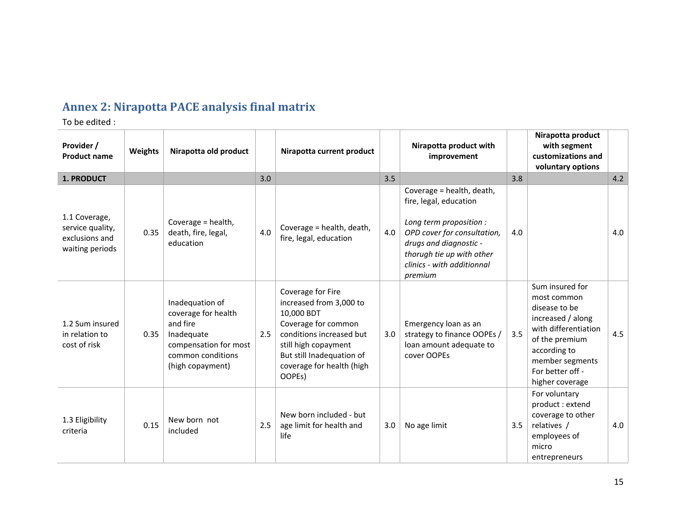# **Annex 2: Nirapotta PACE analysis final matrix**

To be edited :

| Provider /<br><b>Product name</b>                                      | Weights | Nirapotta old product                                                                                                              |     | Nirapotta current product                                                                                                                                                                                 |     | Nirapotta product with<br>improvement                                                                                                                                                                         |     | Nirapotta product<br>with segment<br>customizations and<br>voluntary options                                                                                                             |     |
|------------------------------------------------------------------------|---------|------------------------------------------------------------------------------------------------------------------------------------|-----|-----------------------------------------------------------------------------------------------------------------------------------------------------------------------------------------------------------|-----|---------------------------------------------------------------------------------------------------------------------------------------------------------------------------------------------------------------|-----|------------------------------------------------------------------------------------------------------------------------------------------------------------------------------------------|-----|
| 1. PRODUCT                                                             |         |                                                                                                                                    | 3.0 |                                                                                                                                                                                                           | 3.5 |                                                                                                                                                                                                               | 3.8 |                                                                                                                                                                                          | 4.2 |
| 1.1 Coverage,<br>service quality,<br>exclusions and<br>waiting periods | 0.35    | Coverage = health,<br>death, fire, legal,<br>education                                                                             | 4.0 | Coverage = health, death,<br>fire, legal, education                                                                                                                                                       | 4.0 | Coverage = health, death,<br>fire, legal, education<br>Long term proposition :<br>OPD cover for consultation,<br>drugs and diagnostic -<br>thorugh tie up with other<br>clinics - with additionnal<br>premium | 4.0 |                                                                                                                                                                                          | 4.0 |
| 1.2 Sum insured<br>in relation to<br>cost of risk                      | 0.35    | Inadequation of<br>coverage for health<br>and fire<br>Inadequate<br>compensation for most<br>common conditions<br>(high copayment) | 2.5 | Coverage for Fire<br>increased from 3,000 to<br>10,000 BDT<br>Coverage for common<br>conditions increased but<br>still high copayment<br>But still Inadequation of<br>coverage for health (high<br>OOPEs) | 3.0 | Emergency loan as an<br>strategy to finance OOPEs /<br>loan amount adequate to<br>cover OOPEs                                                                                                                 | 3.5 | Sum insured for<br>most common<br>disease to be<br>increased / along<br>with differentiation<br>of the premium<br>according to<br>member segments<br>For better off -<br>higher coverage | 4.5 |
| 1.3 Eligibility<br>criteria                                            | 0.15    | New born not<br>included                                                                                                           | 2.5 | New born included - but<br>age limit for health and<br>life                                                                                                                                               | 3.0 | No age limit                                                                                                                                                                                                  | 3.5 | For voluntary<br>product : extend<br>coverage to other<br>relatives /<br>employees of<br>micro<br>entrepreneurs                                                                          | 4.0 |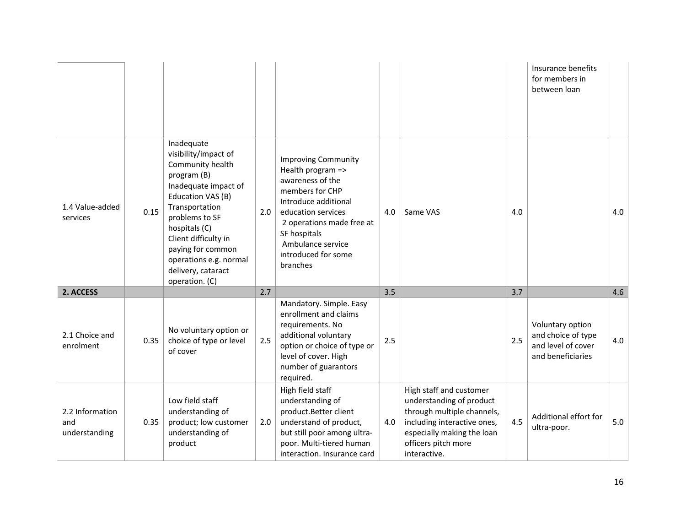|                                         |      |                                                                                                                                                                                                                                                                                        |     |                                                                                                                                                                                                                                           |     |                                                                                                                                                                                       |     | Insurance benefits<br>for members in<br>between loan                              |     |
|-----------------------------------------|------|----------------------------------------------------------------------------------------------------------------------------------------------------------------------------------------------------------------------------------------------------------------------------------------|-----|-------------------------------------------------------------------------------------------------------------------------------------------------------------------------------------------------------------------------------------------|-----|---------------------------------------------------------------------------------------------------------------------------------------------------------------------------------------|-----|-----------------------------------------------------------------------------------|-----|
| 1.4 Value-added<br>services             | 0.15 | Inadequate<br>visibility/impact of<br>Community health<br>program (B)<br>Inadequate impact of<br>Education VAS (B)<br>Transportation<br>problems to SF<br>hospitals (C)<br>Client difficulty in<br>paying for common<br>operations e.g. normal<br>delivery, cataract<br>operation. (C) | 2.0 | <b>Improving Community</b><br>Health program =><br>awareness of the<br>members for CHP<br>Introduce additional<br>education services<br>2 operations made free at<br>SF hospitals<br>Ambulance service<br>introduced for some<br>branches | 4.0 | Same VAS                                                                                                                                                                              | 4.0 |                                                                                   | 4.0 |
| 2. ACCESS                               |      |                                                                                                                                                                                                                                                                                        | 2.7 |                                                                                                                                                                                                                                           | 3.5 |                                                                                                                                                                                       | 3.7 |                                                                                   | 4.6 |
| 2.1 Choice and<br>enrolment             | 0.35 | No voluntary option or<br>choice of type or level<br>of cover                                                                                                                                                                                                                          | 2.5 | Mandatory. Simple. Easy<br>enrollment and claims<br>requirements. No<br>additional voluntary<br>option or choice of type or<br>level of cover. High<br>number of guarantors<br>required.                                                  | 2.5 |                                                                                                                                                                                       | 2.5 | Voluntary option<br>and choice of type<br>and level of cover<br>and beneficiaries | 4.0 |
| 2.2 Information<br>and<br>understanding | 0.35 | Low field staff<br>understanding of<br>product; low customer<br>understanding of<br>product                                                                                                                                                                                            | 2.0 | High field staff<br>understanding of<br>product.Better client<br>understand of product,<br>but still poor among ultra-<br>poor. Multi-tiered human<br>interaction. Insurance card                                                         | 4.0 | High staff and customer<br>understanding of product<br>through multiple channels,<br>including interactive ones,<br>especially making the loan<br>officers pitch more<br>interactive. | 4.5 | Additional effort for<br>ultra-poor.                                              | 5.0 |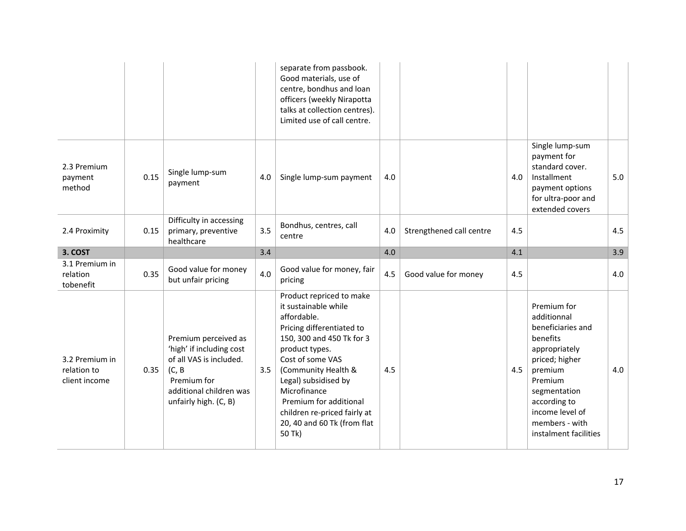|                                                |      |                                                                                                                                                          |     | separate from passbook.<br>Good materials, use of<br>centre, bondhus and loan<br>officers (weekly Nirapotta<br>talks at collection centres).<br>Limited use of call centre.                                                                                                                                                       |     |                          |     |                                                                                                                                                                                                                    |     |
|------------------------------------------------|------|----------------------------------------------------------------------------------------------------------------------------------------------------------|-----|-----------------------------------------------------------------------------------------------------------------------------------------------------------------------------------------------------------------------------------------------------------------------------------------------------------------------------------|-----|--------------------------|-----|--------------------------------------------------------------------------------------------------------------------------------------------------------------------------------------------------------------------|-----|
| 2.3 Premium<br>payment<br>method               | 0.15 | Single lump-sum<br>payment                                                                                                                               | 4.0 | Single lump-sum payment                                                                                                                                                                                                                                                                                                           | 4.0 |                          | 4.0 | Single lump-sum<br>payment for<br>standard cover.<br>Installment<br>payment options<br>for ultra-poor and<br>extended covers                                                                                       | 5.0 |
| 2.4 Proximity                                  | 0.15 | Difficulty in accessing<br>primary, preventive<br>healthcare                                                                                             | 3.5 | Bondhus, centres, call<br>centre                                                                                                                                                                                                                                                                                                  | 4.0 | Strengthened call centre | 4.5 |                                                                                                                                                                                                                    | 4.5 |
| 3. COST                                        |      |                                                                                                                                                          | 3.4 |                                                                                                                                                                                                                                                                                                                                   | 4.0 |                          | 4.1 |                                                                                                                                                                                                                    | 3.9 |
| 3.1 Premium in<br>relation<br>tobenefit        | 0.35 | Good value for money<br>but unfair pricing                                                                                                               | 4.0 | Good value for money, fair<br>pricing                                                                                                                                                                                                                                                                                             | 4.5 | Good value for money     | 4.5 |                                                                                                                                                                                                                    | 4.0 |
| 3.2 Premium in<br>relation to<br>client income | 0.35 | Premium perceived as<br>'high' if including cost<br>of all VAS is included.<br>(C, B)<br>Premium for<br>additional children was<br>unfairly high. (C, B) | 3.5 | Product repriced to make<br>it sustainable while<br>affordable.<br>Pricing differentiated to<br>150, 300 and 450 Tk for 3<br>product types.<br>Cost of some VAS<br>(Community Health &<br>Legal) subsidised by<br>Microfinance<br>Premium for additional<br>children re-priced fairly at<br>20, 40 and 60 Tk (from flat<br>50 Tk) | 4.5 |                          | 4.5 | Premium for<br>additionnal<br>beneficiaries and<br>benefits<br>appropriately<br>priced; higher<br>premium<br>Premium<br>segmentation<br>according to<br>income level of<br>members - with<br>instalment facilities | 4.0 |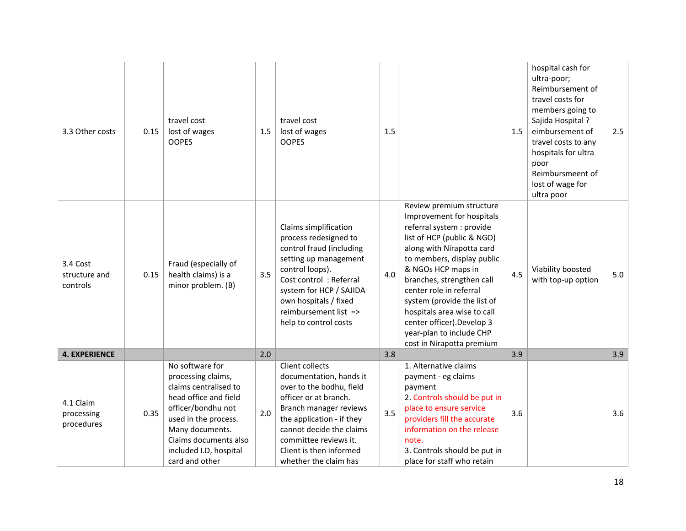| 3.3 Other costs                       | 0.15 | travel cost<br>lost of wages<br><b>OOPES</b>                                                                                                                                                                                  | 1.5 | travel cost<br>lost of wages<br><b>OOPES</b>                                                                                                                                                                                                                    | 1.5 |                                                                                                                                                                                                                                                                                                                                                                                                                | 1.5 | hospital cash for<br>ultra-poor;<br>Reimbursement of<br>travel costs for<br>members going to<br>Sajida Hospital?<br>eimbursement of<br>travel costs to any<br>hospitals for ultra<br>poor<br>Reimbursmeent of<br>lost of wage for<br>ultra poor | 2.5 |
|---------------------------------------|------|-------------------------------------------------------------------------------------------------------------------------------------------------------------------------------------------------------------------------------|-----|-----------------------------------------------------------------------------------------------------------------------------------------------------------------------------------------------------------------------------------------------------------------|-----|----------------------------------------------------------------------------------------------------------------------------------------------------------------------------------------------------------------------------------------------------------------------------------------------------------------------------------------------------------------------------------------------------------------|-----|-------------------------------------------------------------------------------------------------------------------------------------------------------------------------------------------------------------------------------------------------|-----|
| 3.4 Cost<br>structure and<br>controls | 0.15 | Fraud (especially of<br>health claims) is a<br>minor problem. (B)                                                                                                                                                             | 3.5 | Claims simplification<br>process redesigned to<br>control fraud (including<br>setting up management<br>control loops).<br>Cost control: Referral<br>system for HCP / SAJIDA<br>own hospitals / fixed<br>reimbursement list =><br>help to control costs          | 4.0 | Review premium structure<br>Improvement for hospitals<br>referral system : provide<br>list of HCP (public & NGO)<br>along with Nirapotta card<br>to members, display public<br>& NGOs HCP maps in<br>branches, strengthen call<br>center role in referral<br>system (provide the list of<br>hospitals area wise to call<br>center officer). Develop 3<br>year-plan to include CHP<br>cost in Nirapotta premium | 4.5 | Viability boosted<br>with top-up option                                                                                                                                                                                                         | 5.0 |
| <b>4. EXPERIENCE</b>                  |      |                                                                                                                                                                                                                               | 2.0 |                                                                                                                                                                                                                                                                 | 3.8 |                                                                                                                                                                                                                                                                                                                                                                                                                | 3.9 |                                                                                                                                                                                                                                                 | 3.9 |
| 4.1 Claim<br>processing<br>procedures | 0.35 | No software for<br>processing claims,<br>claims centralised to<br>head office and field<br>officer/bondhu not<br>used in the process.<br>Many documents.<br>Claims documents also<br>included I.D, hospital<br>card and other | 2.0 | Client collects<br>documentation, hands it<br>over to the bodhu, field<br>officer or at branch.<br>Branch manager reviews<br>the application - if they<br>cannot decide the claims<br>committee reviews it.<br>Client is then informed<br>whether the claim has | 3.5 | 1. Alternative claims<br>payment - eg claims<br>payment<br>2. Controls should be put in<br>place to ensure service<br>providers fill the accurate<br>information on the release<br>note.<br>3. Controls should be put in<br>place for staff who retain                                                                                                                                                         | 3.6 |                                                                                                                                                                                                                                                 | 3.6 |